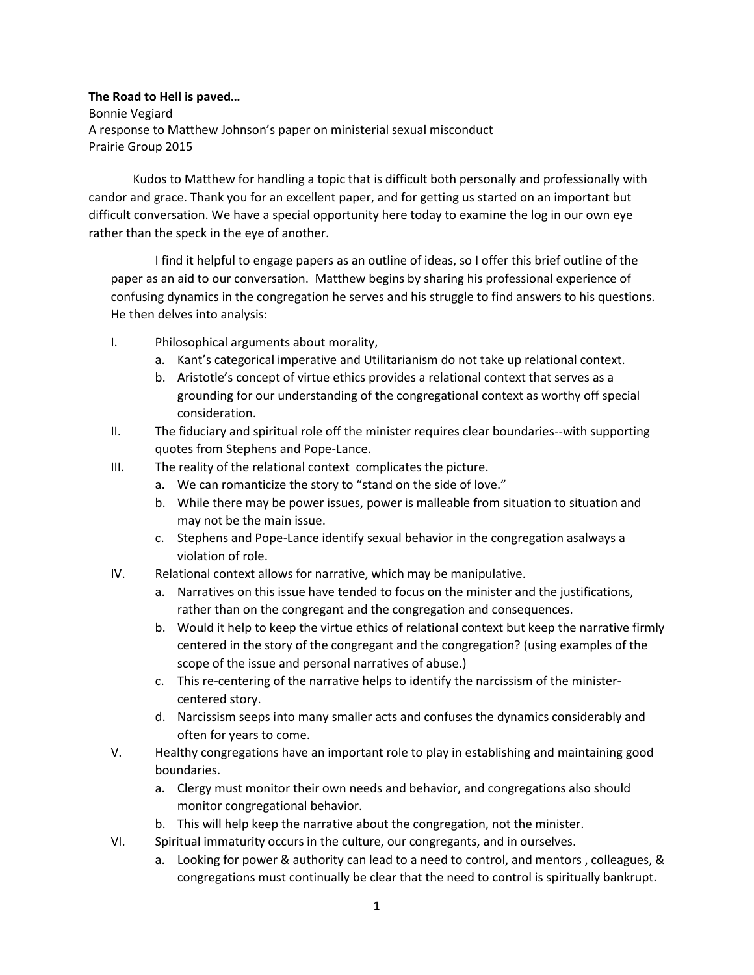**The Road to Hell is paved…** Bonnie Vegiard A response to Matthew Johnson's paper on ministerial sexual misconduct Prairie Group 2015

Kudos to Matthew for handling a topic that is difficult both personally and professionally with candor and grace. Thank you for an excellent paper, and for getting us started on an important but difficult conversation. We have a special opportunity here today to examine the log in our own eye rather than the speck in the eye of another.

I find it helpful to engage papers as an outline of ideas, so I offer this brief outline of the paper as an aid to our conversation. Matthew begins by sharing his professional experience of confusing dynamics in the congregation he serves and his struggle to find answers to his questions. He then delves into analysis:

- I. Philosophical arguments about morality,
	- a. Kant's categorical imperative and Utilitarianism do not take up relational context.
	- b. Aristotle's concept of virtue ethics provides a relational context that serves as a grounding for our understanding of the congregational context as worthy off special consideration.
- II. The fiduciary and spiritual role off the minister requires clear boundaries--with supporting quotes from Stephens and Pope-Lance.
- III. The reality of the relational context complicates the picture.
	- a. We can romanticize the story to "stand on the side of love."
	- b. While there may be power issues, power is malleable from situation to situation and may not be the main issue.
	- c. Stephens and Pope-Lance identify sexual behavior in the congregation asalways a violation of role.
- IV. Relational context allows for narrative, which may be manipulative.
	- a. Narratives on this issue have tended to focus on the minister and the justifications, rather than on the congregant and the congregation and consequences.
	- b. Would it help to keep the virtue ethics of relational context but keep the narrative firmly centered in the story of the congregant and the congregation? (using examples of the scope of the issue and personal narratives of abuse.)
	- c. This re-centering of the narrative helps to identify the narcissism of the ministercentered story.
	- d. Narcissism seeps into many smaller acts and confuses the dynamics considerably and often for years to come.
- V. Healthy congregations have an important role to play in establishing and maintaining good boundaries.
	- a. Clergy must monitor their own needs and behavior, and congregations also should monitor congregational behavior.
	- b. This will help keep the narrative about the congregation, not the minister.
- VI. Spiritual immaturity occurs in the culture, our congregants, and in ourselves.
	- a. Looking for power & authority can lead to a need to control, and mentors , colleagues, & congregations must continually be clear that the need to control is spiritually bankrupt.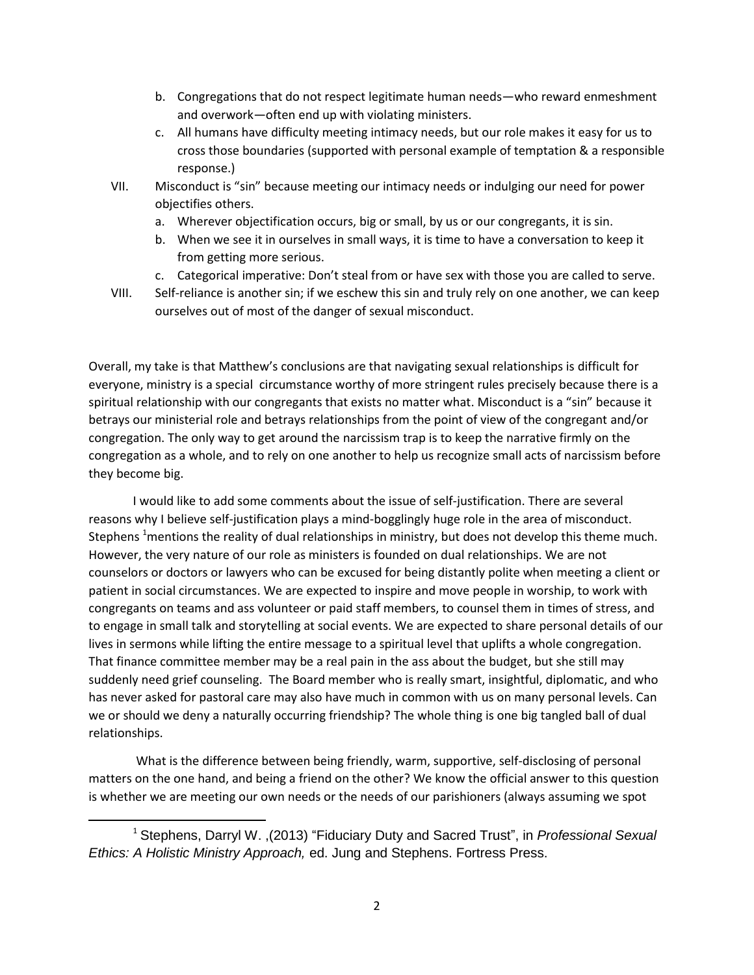- b. Congregations that do not respect legitimate human needs—who reward enmeshment and overwork—often end up with violating ministers.
- c. All humans have difficulty meeting intimacy needs, but our role makes it easy for us to cross those boundaries (supported with personal example of temptation & a responsible response.)
- VII. Misconduct is "sin" because meeting our intimacy needs or indulging our need for power objectifies others.
	- a. Wherever objectification occurs, big or small, by us or our congregants, it is sin.
	- b. When we see it in ourselves in small ways, it is time to have a conversation to keep it from getting more serious.
	- c. Categorical imperative: Don't steal from or have sex with those you are called to serve.
- VIII. Self-reliance is another sin; if we eschew this sin and truly rely on one another, we can keep ourselves out of most of the danger of sexual misconduct.

Overall, my take is that Matthew's conclusions are that navigating sexual relationships is difficult for everyone, ministry is a special circumstance worthy of more stringent rules precisely because there is a spiritual relationship with our congregants that exists no matter what. Misconduct is a "sin" because it betrays our ministerial role and betrays relationships from the point of view of the congregant and/or congregation. The only way to get around the narcissism trap is to keep the narrative firmly on the congregation as a whole, and to rely on one another to help us recognize small acts of narcissism before they become big.

I would like to add some comments about the issue of self-justification. There are several reasons why I believe self-justification plays a mind-bogglingly huge role in the area of misconduct. Stephens <sup>1</sup>mentions the reality of dual relationships in ministry, but does not develop this theme much. However, the very nature of our role as ministers is founded on dual relationships. We are not counselors or doctors or lawyers who can be excused for being distantly polite when meeting a client or patient in social circumstances. We are expected to inspire and move people in worship, to work with congregants on teams and ass volunteer or paid staff members, to counsel them in times of stress, and to engage in small talk and storytelling at social events. We are expected to share personal details of our lives in sermons while lifting the entire message to a spiritual level that uplifts a whole congregation. That finance committee member may be a real pain in the ass about the budget, but she still may suddenly need grief counseling. The Board member who is really smart, insightful, diplomatic, and who has never asked for pastoral care may also have much in common with us on many personal levels. Can we or should we deny a naturally occurring friendship? The whole thing is one big tangled ball of dual relationships.

What is the difference between being friendly, warm, supportive, self-disclosing of personal matters on the one hand, and being a friend on the other? We know the official answer to this question is whether we are meeting our own needs or the needs of our parishioners (always assuming we spot

 $\overline{\phantom{a}}$ 

<sup>1</sup> Stephens, Darryl W. ,(2013) "Fiduciary Duty and Sacred Trust", in *Professional Sexual Ethics: A Holistic Ministry Approach,* ed. Jung and Stephens. Fortress Press.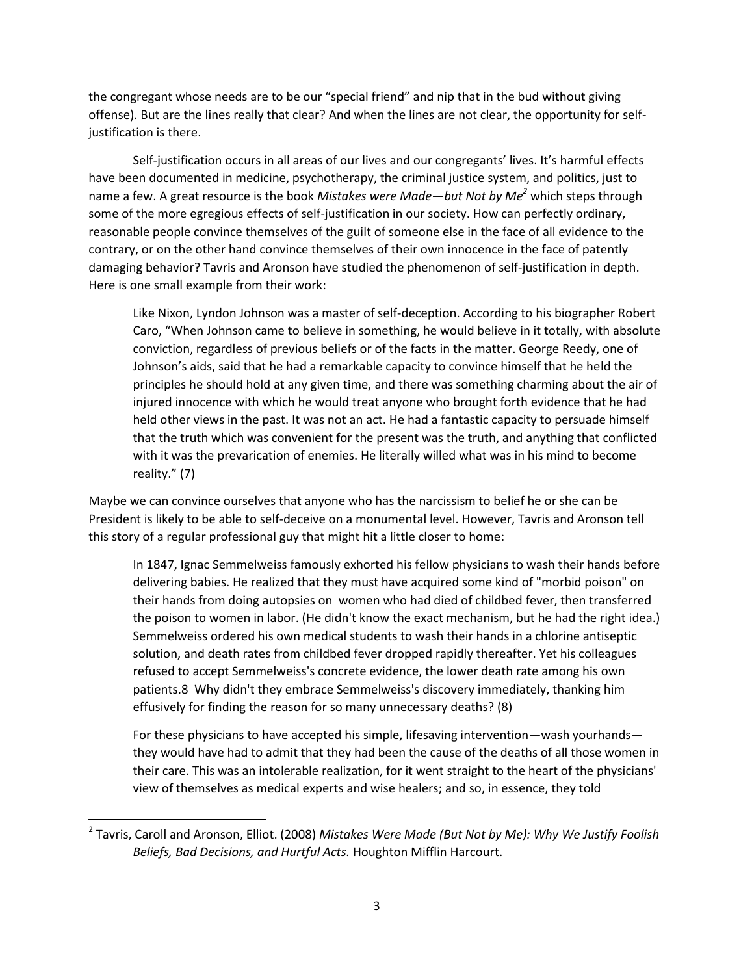the congregant whose needs are to be our "special friend" and nip that in the bud without giving offense). But are the lines really that clear? And when the lines are not clear, the opportunity for selfjustification is there.

Self-justification occurs in all areas of our lives and our congregants' lives. It's harmful effects have been documented in medicine, psychotherapy, the criminal justice system, and politics, just to name a few. A great resource is the book *Mistakes were Made—but Not by Me<sup>2</sup>* which steps through some of the more egregious effects of self-justification in our society. How can perfectly ordinary, reasonable people convince themselves of the guilt of someone else in the face of all evidence to the contrary, or on the other hand convince themselves of their own innocence in the face of patently damaging behavior? Tavris and Aronson have studied the phenomenon of self-justification in depth. Here is one small example from their work:

Like Nixon, Lyndon Johnson was a master of self-deception. According to his biographer Robert Caro, "When Johnson came to believe in something, he would believe in it totally, with absolute conviction, regardless of previous beliefs or of the facts in the matter. George Reedy, one of Johnson's aids, said that he had a remarkable capacity to convince himself that he held the principles he should hold at any given time, and there was something charming about the air of injured innocence with which he would treat anyone who brought forth evidence that he had held other views in the past. It was not an act. He had a fantastic capacity to persuade himself that the truth which was convenient for the present was the truth, and anything that conflicted with it was the prevarication of enemies. He literally willed what was in his mind to become reality." (7)

Maybe we can convince ourselves that anyone who has the narcissism to belief he or she can be President is likely to be able to self-deceive on a monumental level. However, Tavris and Aronson tell this story of a regular professional guy that might hit a little closer to home:

In 1847, Ignac Semmelweiss famously exhorted his fellow physicians to wash their hands before delivering babies. He realized that they must have acquired some kind of "morbid poison" on their hands from doing autopsies on women who had died of childbed fever, then transferred the poison to women in labor. (He didn't know the exact mechanism, but he had the right idea.) Semmelweiss ordered his own medical students to wash their hands in a chlorine antiseptic solution, and death rates from childbed fever dropped rapidly thereafter. Yet his colleagues refused to accept Semmelweiss's concrete evidence, the lower death rate among his own patients.8 Why didn't they embrace Semmelweiss's discovery immediately, thanking him effusively for finding the reason for so many unnecessary deaths? (8)

For these physicians to have accepted his simple, lifesaving intervention—wash yourhands they would have had to admit that they had been the cause of the deaths of all those women in their care. This was an intolerable realization, for it went straight to the heart of the physicians' view of themselves as medical experts and wise healers; and so, in essence, they told

 $\overline{a}$ 

<sup>2</sup> Tavris, Caroll and Aronson, Elliot. (2008) *Mistakes Were Made (But Not by Me): Why We Justify Foolish Beliefs, Bad Decisions, and Hurtful Acts.* Houghton Mifflin Harcourt.